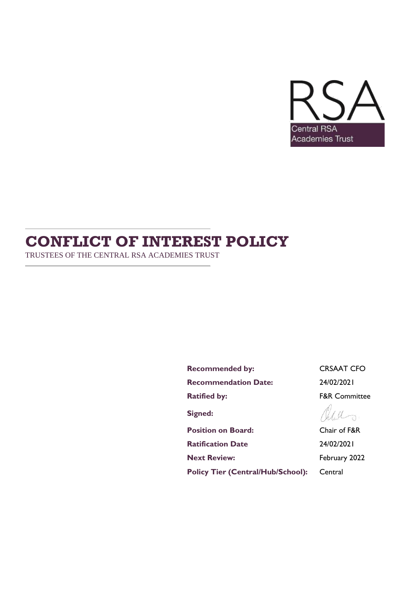

# **CONFLICT OF INTEREST POLICY**

TRUSTEES OF THE CENTRAL RSA ACADEMIES TRUST

Recommended by: CRSAAT CFO **Recommendation Date:** 24/02/2021 **Ratified by:** F&R Committee **Signed: Position on Board:** Chair of F&R

**Ratification Date** 24/02/2021 **Next Review:** February 2022

Policy Tier (Central/Hub/School): Central

Will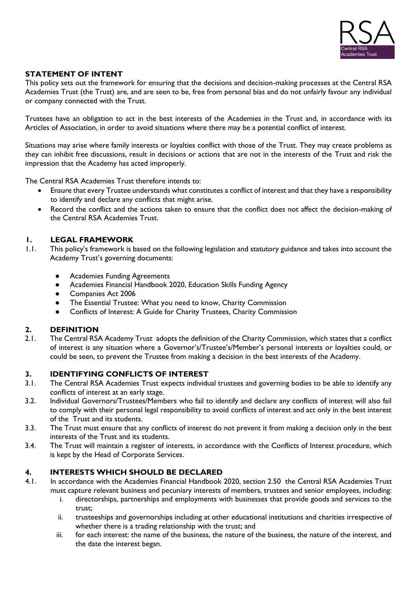

# **STATEMENT OF INTENT**

This policy sets out the framework for ensuring that the decisions and decision-making processes at the Central RSA Academies Trust (the Trust) are, and are seen to be, free from personal bias and do not unfairly favour any individual or company connected with the Trust.

Trustees have an obligation to act in the best interests of the Academies in the Trust and, in accordance with its Articles of Association, in order to avoid situations where there may be a potential conflict of interest.

Situations may arise where family interests or loyalties conflict with those of the Trust. They may create problems as they can inhibit free discussions, result in decisions or actions that are not in the interests of the Trust and risk the impression that the Academy has acted improperly.

The Central RSA Academies Trust therefore intends to:

- Ensure that every Trustee understands what constitutes a conflict of interest and that they have a responsibility to identify and declare any conflicts that might arise.
- Record the conflict and the actions taken to ensure that the conflict does not affect the decision-making of the Central RSA Academies Trust.

# **1. LEGAL FRAMEWORK**

- 1.1. This policy's framework is based on the following legislation and statutory guidance and takes into account the Academy Trust's governing documents:
	- Academies Funding Agreements
	- Academies Financial Handbook 2020, Education Skills Funding Agency
	- Companies Act 2006
	- The Essential Trustee: What you need to know, Charity Commission
	- Conflicts of Interest: A Guide for Charity Trustees, Charity Commission

# **2. DEFINITION**

2.1. The Central RSA Academy Trust adopts the definition of the Charity Commission, which states that a conflict of interest is any situation where a Governor's/Trustee's/Member's personal interests or loyalties could, or could be seen, to prevent the Trustee from making a decision in the best interests of the Academy.

#### **3. IDENTIFYING CONFLICTS OF INTEREST**

- 3.1. The Central RSA Academies Trust expects individual trustees and governing bodies to be able to identify any conflicts of interest at an early stage.
- 3.2. Individual Governors/Trustees/Members who fail to identify and declare any conflicts of interest will also fail to comply with their personal legal responsibility to avoid conflicts of interest and act only in the best interest of the Trust and its students.
- 3.3. The Trust must ensure that any conflicts of interest do not prevent it from making a decision only in the best interests of the Trust and its students.
- 3.4. The Trust will maintain a register of interests, in accordance with the Conflicts of Interest procedure, which is kept by the Head of Corporate Services.

# **4. INTERESTS WHICH SHOULD BE DECLARED**

- 4.1. In accordance with the Academies Financial Handbook 2020, section 2.50 the Central RSA Academies Trust must capture relevant business and pecuniary interests of members, trustees and senior employees, including:
	- i. directorships, partnerships and employments with businesses that provide goods and services to the trust;
	- ii. trusteeships and governorships including at other educational institutions and charities irrespective of whether there is a trading relationship with the trust; and
	- iii. for each interest: the name of the business, the nature of the business, the nature of the interest, and the date the interest began.